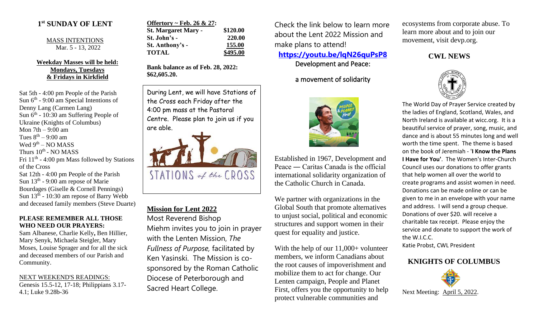### **1 st SUNDAY OF LENT**

MASS INTENTIONS Mar. 5 - 13, 2022

### **Weekday Masses will be held: Mondays, Tuesdays & Fridays in Kirkfield**

Sat 5th - 4:00 pm People of the Parish Sun  $6<sup>th</sup>$  - 9:00 am Special Intentions of Denny Lang (Carmen Lang) Sun  $6<sup>th</sup>$  - 10:30 am Suffering People of Ukraine (Knights of Columbus) Mon 7th – 9:00 am Tues  $8^{th} - 9:00$  am Wed 9<sup>th</sup> – NO MASS Thurs 10<sup>th</sup> - NO MASS Fri  $11<sup>th</sup>$  - 4:00 pm Mass followed by Stations of the Cross Sat 12th - 4:00 pm People of the Parish Sun 13<sup>th</sup> - 9:00 am repose of Marie Bourdages (Giselle & Cornell Pennings) Sun  $13<sup>th</sup>$  - 10:30 am repose of Barry Webb and deceased family members (Steve Duarte)

### **PLEASE REMEMBER ALL THOSE WHO NEED OUR PRAYERS:**

Sam Albanese, Charlie Kelly**,** Ben Hillier, Mary Senyk, Michaela Steigler, Mary Moses, Louise Sprager and for all the sick and deceased members of our Parish and Community.

NEXT WEEKEND'S READINGS: Genesis 15.5-12, 17-18; Philippians 3.17- 4.1; Luke 9.28b-36

| Offertory ~ Feb. 26 $& 27$ : |          |
|------------------------------|----------|
| <b>St. Margaret Mary -</b>   | \$120.00 |
| St. John's -                 | 220.00   |
| St. Anthony's -              | 155.00   |
| <b>TOTAL</b>                 | \$495.00 |

**Bank balance as of Feb. 28, 2022: \$62,605.20.**

During Lent, we will have Stations of the Cross each Friday after the 4:00 pm mass at the Pastoral Centre. Please plan to join us if you are able.



# **Mission for Lent 2022**

Most Reverend Bishop Miehm invites you to join in prayer with the Lenten Mission, *The Fullness of Purpose,* facilitated by Ken Yasinski. The Mission is cosponsored by the Roman Catholic Diocese of Peterborough and Sacred Heart College.

Check the link below to learn more about the Lent 2022 Mission and make plans to attend!

## **<https://youtu.be/lqN26quPsP8>** Development and Peace:

a movement of solidarity



Established in 1967, Development and Peace ― Caritas Canada is the official international solidarity organization of the Catholic Church in Canada.

We partner with organizations in the Global South that promote alternatives to unjust social, political and economic structures and support women in their quest for equality and justice.

With the help of our 11,000+ volunteer members, we inform Canadians about the root causes of impoverishment and mobilize them to act for change. Our Lenten campaign, People and Planet First, offers you the opportunity to help protect vulnerable communities and

ecosystems from corporate abuse. To learn more about and to join our movement, visit devp.org.

## **CWL NEWS**



The World Day of Prayer Service created by the ladies of England, Scotland, Wales, and North Ireland is available at wicc.org. It is a beautiful service of prayer, song, music, and dance and is about 55 minutes long and well worth the time spent. The theme is based on the book of Jeremiah - '**I Know the Plans I Have for You'**. The Women's Inter-Church Council uses our donations to offer grants that help women all over the world to create programs and assist women in need. Donations can be made online or can be given to me in an envelope with your name and address. I will send a group cheque. Donations of over \$20. will receive a charitable tax receipt. Please enjoy the service and donate to support the work of the W.I.C.C.

Katie Probst, CWL President

# **KNIGHTS OF COLUMBUS**